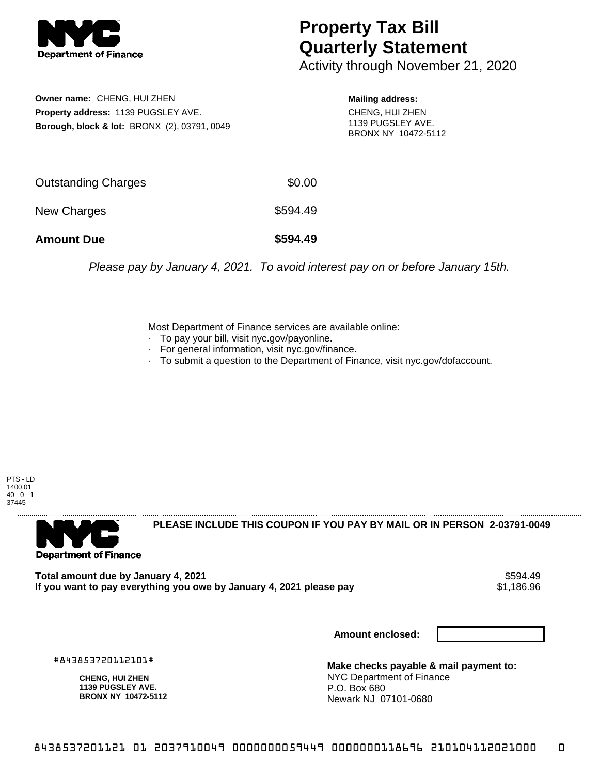

## **Property Tax Bill Quarterly Statement**

Activity through November 21, 2020

**Owner name:** CHENG, HUI ZHEN **Property address:** 1139 PUGSLEY AVE. **Borough, block & lot:** BRONX (2), 03791, 0049 **Mailing address:**

CHENG, HUI ZHEN 1139 PUGSLEY AVE. BRONX NY 10472-5112

| <b>Amount Due</b>          | \$594.49 |
|----------------------------|----------|
| New Charges                | \$594.49 |
| <b>Outstanding Charges</b> | \$0.00   |

Please pay by January 4, 2021. To avoid interest pay on or before January 15th.

Most Department of Finance services are available online:

- · To pay your bill, visit nyc.gov/payonline.
- For general information, visit nyc.gov/finance.
- · To submit a question to the Department of Finance, visit nyc.gov/dofaccount.

PTS - LD 1400.01  $40 - 0 - 1$ 37445



**PLEASE INCLUDE THIS COUPON IF YOU PAY BY MAIL OR IN PERSON 2-03791-0049** 

Total amount due by January 4, 2021<br>If you want to pay everything you owe by January 4, 2021 please pay **ship to the Superior Automate** \$1,186.96 If you want to pay everything you owe by January 4, 2021 please pay

**Amount enclosed:**

#843853720112101#

**CHENG, HUI ZHEN 1139 PUGSLEY AVE. BRONX NY 10472-5112**

**Make checks payable & mail payment to:** NYC Department of Finance P.O. Box 680 Newark NJ 07101-0680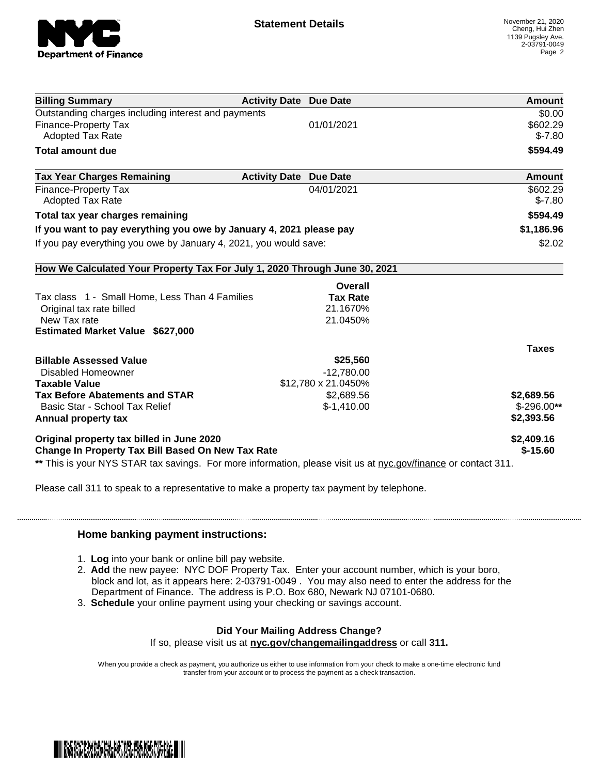

| <b>Billing Summary</b>                                                                                         | <b>Activity Date Due Date</b>           | <b>Amount</b> |
|----------------------------------------------------------------------------------------------------------------|-----------------------------------------|---------------|
| Outstanding charges including interest and payments                                                            |                                         | \$0.00        |
| <b>Finance-Property Tax</b>                                                                                    | 01/01/2021                              | \$602.29      |
| <b>Adopted Tax Rate</b>                                                                                        |                                         | $$-7.80$      |
| <b>Total amount due</b>                                                                                        |                                         | \$594.49      |
| <b>Tax Year Charges Remaining</b>                                                                              | <b>Activity Date</b><br><b>Due Date</b> | Amount        |
| Finance-Property Tax                                                                                           | 04/01/2021                              | \$602.29      |
| <b>Adopted Tax Rate</b>                                                                                        |                                         | $$-7.80$      |
| Total tax year charges remaining                                                                               |                                         | \$594.49      |
| If you want to pay everything you owe by January 4, 2021 please pay                                            |                                         | \$1,186.96    |
| If you pay everything you owe by January 4, 2021, you would save:                                              |                                         | \$2.02        |
| How We Calculated Your Property Tax For July 1, 2020 Through June 30, 2021                                     |                                         |               |
|                                                                                                                | Overall                                 |               |
| Tax class 1 - Small Home, Less Than 4 Families                                                                 | <b>Tax Rate</b>                         |               |
| Original tax rate billed                                                                                       | 21.1670%                                |               |
| New Tax rate                                                                                                   | 21.0450%                                |               |
| <b>Estimated Market Value \$627,000</b>                                                                        |                                         |               |
|                                                                                                                |                                         | <b>Taxes</b>  |
| <b>Billable Assessed Value</b>                                                                                 | \$25,560                                |               |
| Disabled Homeowner                                                                                             | $-12,780.00$                            |               |
| <b>Taxable Value</b>                                                                                           | \$12,780 x 21.0450%                     |               |
| <b>Tax Before Abatements and STAR</b>                                                                          | \$2,689.56                              | \$2,689.56    |
| Basic Star - School Tax Relief                                                                                 | $$-1,410.00$                            | $$-296.00**$  |
| Annual property tax                                                                                            |                                         | \$2,393.56    |
| Original property tax billed in June 2020                                                                      |                                         | \$2,409.16    |
| Change In Property Tax Bill Based On New Tax Rate                                                              |                                         | $$-15.60$     |
| ** This is your NYS STAR tax savings. For more information, please visit us at nyc.gov/finance or contact 311. |                                         |               |

Please call 311 to speak to a representative to make a property tax payment by telephone.

## **Home banking payment instructions:**

- 1. **Log** into your bank or online bill pay website.
- 2. **Add** the new payee: NYC DOF Property Tax. Enter your account number, which is your boro, block and lot, as it appears here: 2-03791-0049 . You may also need to enter the address for the Department of Finance. The address is P.O. Box 680, Newark NJ 07101-0680.
- 3. **Schedule** your online payment using your checking or savings account.

## **Did Your Mailing Address Change?**

If so, please visit us at **nyc.gov/changemailingaddress** or call **311.**

When you provide a check as payment, you authorize us either to use information from your check to make a one-time electronic fund transfer from your account or to process the payment as a check transaction.